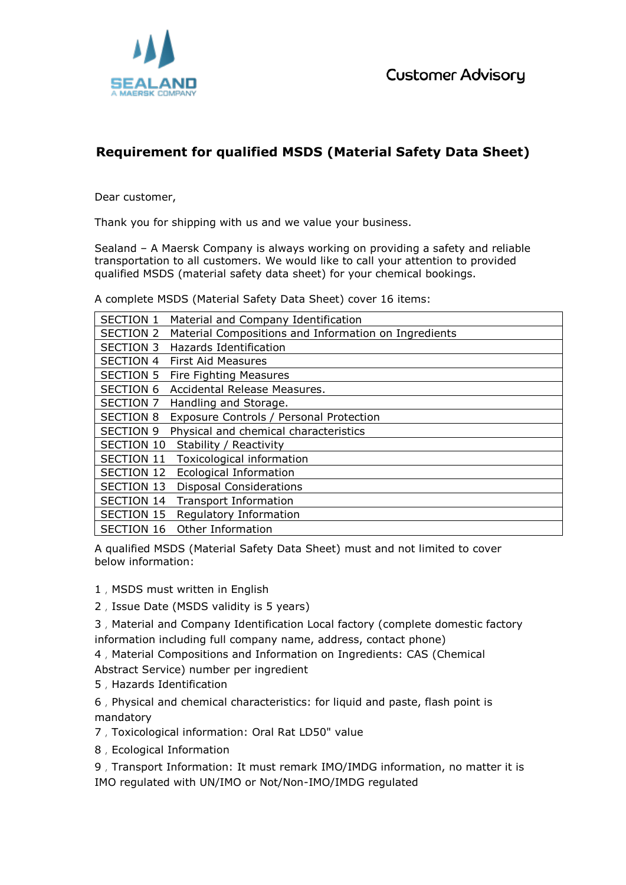**Customer Advisory** 



## **Requirement for qualified MSDS (Material Safety Data Sheet)**

Dear customer,

Thank you for shipping with us and we value your business.

Sealand – A Maersk Company is always working on providing a safety and reliable transportation to all customers. We would like to call your attention to provided qualified MSDS (material safety data sheet) for your chemical bookings.

A complete MSDS (Material Safety Data Sheet) cover 16 items:

| <b>SECTION 1</b>  | Material and Company Identification                  |
|-------------------|------------------------------------------------------|
| <b>SECTION 2</b>  | Material Compositions and Information on Ingredients |
| <b>SECTION 3</b>  | <b>Hazards Identification</b>                        |
| <b>SECTION 4</b>  | <b>First Aid Measures</b>                            |
| <b>SECTION 5</b>  | Fire Fighting Measures                               |
| <b>SECTION 6</b>  | Accidental Release Measures.                         |
| SECTION 7         | Handling and Storage.                                |
| <b>SECTION 8</b>  | Exposure Controls / Personal Protection              |
| <b>SECTION 9</b>  | Physical and chemical characteristics                |
| <b>SECTION 10</b> | Stability / Reactivity                               |
| <b>SECTION 11</b> | Toxicological information                            |
| <b>SECTION 12</b> | <b>Ecological Information</b>                        |
| <b>SECTION 13</b> | <b>Disposal Considerations</b>                       |
| <b>SECTION 14</b> | <b>Transport Information</b>                         |
| <b>SECTION 15</b> | Regulatory Information                               |
| <b>SECTION 16</b> | Other Information                                    |

A qualified MSDS (Material Safety Data Sheet) must and not limited to cover below information:

- 1, MSDS must written in English
- 2,Issue Date (MSDS validity is 5 years)

3,Material and Company Identification Local factory (complete domestic factory information including full company name, address, contact phone)

4,Material Compositions and Information on Ingredients: CAS (Chemical

Abstract Service) number per ingredient

5,Hazards Identification

6,Physical and chemical characteristics: for liquid and paste, flash point is mandatory

- 7,Toxicological information: Oral Rat LD50" value
- 8,Ecological Information

9,Transport Information: It must remark IMO/IMDG information, no matter it is IMO regulated with UN/IMO or Not/Non-IMO/IMDG regulated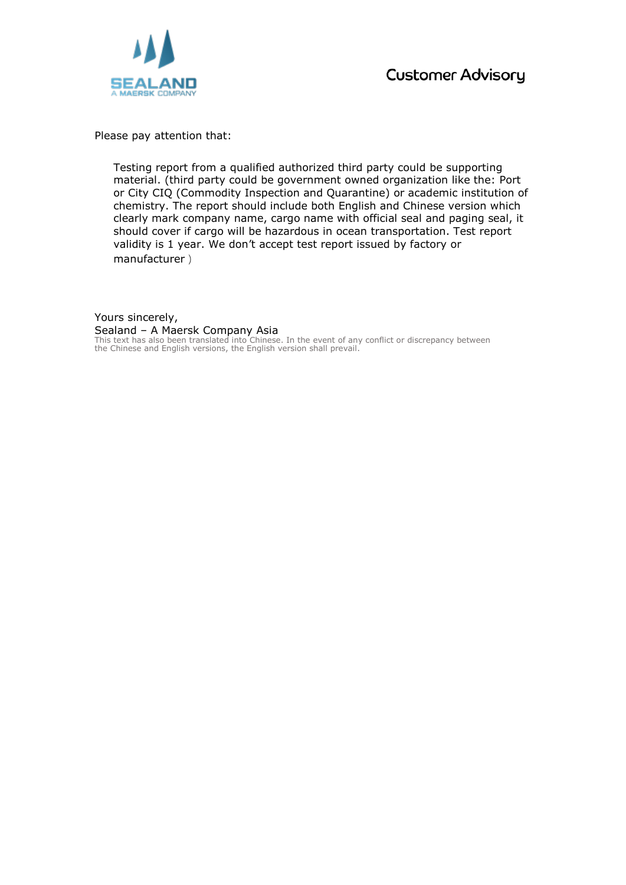

Please pay attention that:

Testing report from a qualified authorized third party could be supporting material. (third party could be government owned organization like the: Port or City CIQ (Commodity Inspection and Quarantine) or academic institution of chemistry. The report should include both English and Chinese version which clearly mark company name, cargo name with official seal and paging seal, it should cover if cargo will be hazardous in ocean transportation. Test report validity is 1 year. We don't accept test report issued by factory or manufacturer)

Yours sincerely, Sealand – A Maersk Company Asia This text has also been translated into Chinese. In the event of any conflict or discrepancy between the Chinese and English versions, the English version shall prevail.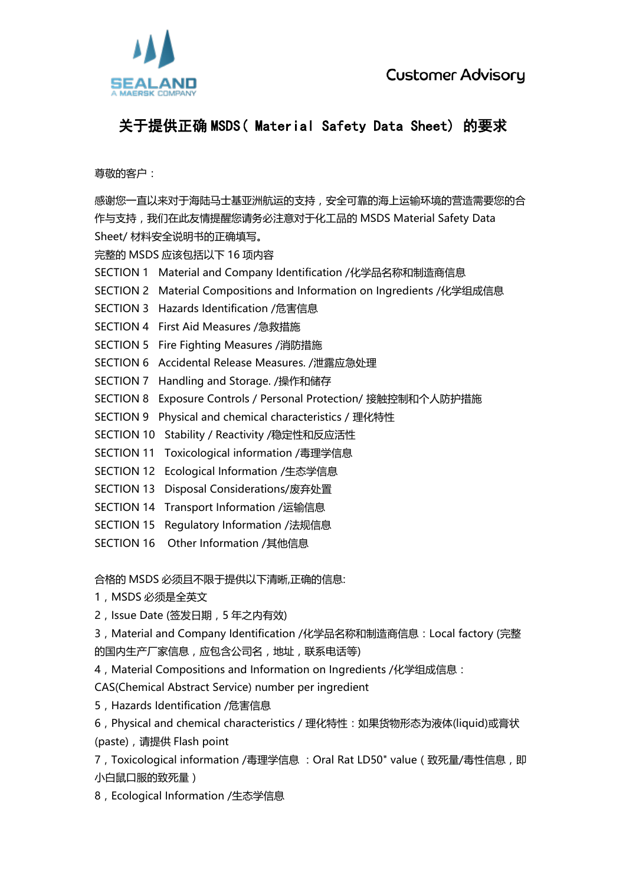

## **关于提供正确 MSDS( Material Safety Data Sheet) 的要求**

尊敬的客户:

感谢您一直以来对于海陆马士基亚洲航运的支持,安全可靠的海上运输环境的营造需要您的合 作与支持,我们在此友情提醒您请务必注意对于化工品的 MSDS Material Safety Data Sheet/ 材料安全说明书的正确填写。

完整的 MSDS 应该包括以下 16 项内容

- SECTION 1 Material and Company Identification /化学品名称和制造商信息
- SECTION 2 Material Compositions and Information on Ingredients /化学组成信息
- SECTION 3 Hazards Identification /危害信息
- SECTION 4 First Aid Measures /急救措施
- SECTION 5 Fire Fighting Measures /消防措施
- SECTION 6 Accidental Release Measures. /泄露应急处理
- SECTION 7 Handling and Storage. /操作和储存
- SECTION 8 Exposure Controls / Personal Protection/ 接触控制和个人防护措施
- SECTION 9 Physical and chemical characteristics / 理化特性
- SECTION 10 Stability / Reactivity /稳定性和反应活性
- SECTION 11 Toxicological information /毒理学信息
- SECTION 12 Ecological Information /生态学信息
- SECTION 13 Disposal Considerations/废弃处置
- SECTION 14 Transport Information /运输信息
- SECTION 15 Regulatory Information /法规信息
- SECTION 16 Other Information /其他信息

合格的 MSDS 必须且不限于提供以下清晰,正确的信息:

- 1, MSDS 必须是全英文
- 2,Issue Date (签发日期,5 年之内有效)

3,Material and Company Identification /化学品名称和制造商信息:Local factory (完整 的国内生产厂家信息,应包含公司名,地址,联系电话等)

4,Material Compositions and Information on Ingredients /化学组成信息:

CAS(Chemical Abstract Service) number per ingredient

5,Hazards Identification /危害信息

6,Physical and chemical characteristics / 理化特性:如果货物形态为液体(liquid)或膏状 (paste),请提供 Flash point

7,Toxicological information /毒理学信息 :Oral Rat LD50" value(致死量/毒性信息,即 小白鼠口服的致死量)

8,Ecological Information /生态学信息